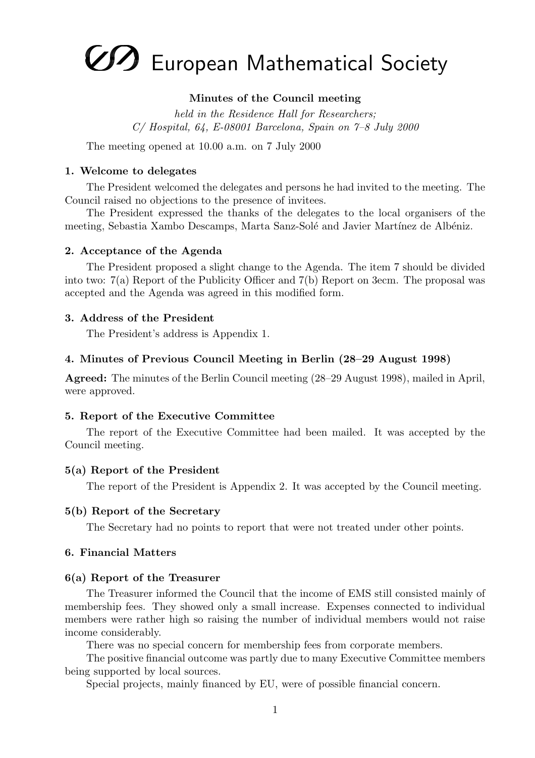# ✒✑  $\Gamma$   $\Omega$  $\mathcal{D}\mathcal{D}$  European Mathematical Society

# Minutes of the Council meeting

held in the Residence Hall for Researchers;  $C/H$ ospital, 64, E-08001 Barcelona, Spain on  $7-8$  July 2000

The meeting opened at 10.00 a.m. on 7 July 2000

## 1. Welcome to delegates

The President welcomed the delegates and persons he had invited to the meeting. The Council raised no objections to the presence of invitees.

The President expressed the thanks of the delegates to the local organisers of the meeting, Sebastia Xambo Descamps, Marta Sanz-Solé and Javier Martínez de Albéniz.

## 2. Acceptance of the Agenda

The President proposed a slight change to the Agenda. The item 7 should be divided into two: 7(a) Report of the Publicity Officer and 7(b) Report on 3ecm. The proposal was accepted and the Agenda was agreed in this modified form.

## 3. Address of the President

The President's address is Appendix 1.

## 4. Minutes of Previous Council Meeting in Berlin (28–29 August 1998)

Agreed: The minutes of the Berlin Council meeting (28–29 August 1998), mailed in April, were approved.

#### 5. Report of the Executive Committee

The report of the Executive Committee had been mailed. It was accepted by the Council meeting.

#### 5(a) Report of the President

The report of the President is Appendix 2. It was accepted by the Council meeting.

#### 5(b) Report of the Secretary

The Secretary had no points to report that were not treated under other points.

## 6. Financial Matters

#### 6(a) Report of the Treasurer

The Treasurer informed the Council that the income of EMS still consisted mainly of membership fees. They showed only a small increase. Expenses connected to individual members were rather high so raising the number of individual members would not raise income considerably.

There was no special concern for membership fees from corporate members.

The positive financial outcome was partly due to many Executive Committee members being supported by local sources.

Special projects, mainly financed by EU, were of possible financial concern.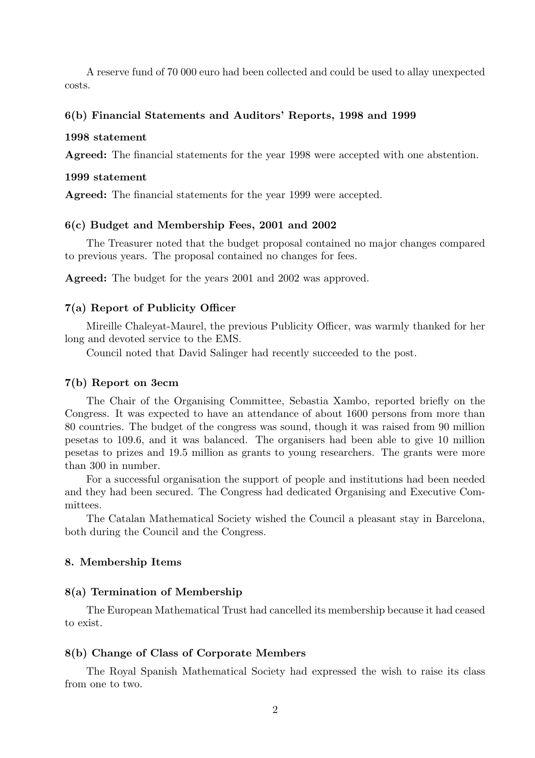A reserve fund of 70 000 euro had been collected and could be used to allay unexpected costs.

## 6(b) Financial Statements and Auditors' Reports, 1998 and 1999

#### 1998 statement

Agreed: The financial statements for the year 1998 were accepted with one abstention.

#### 1999 statement

Agreed: The financial statements for the year 1999 were accepted.

## 6(c) Budget and Membership Fees, 2001 and 2002

The Treasurer noted that the budget proposal contained no major changes compared to previous years. The proposal contained no changes for fees.

Agreed: The budget for the years 2001 and 2002 was approved.

## 7(a) Report of Publicity Officer

Mireille Chaleyat-Maurel, the previous Publicity Officer, was warmly thanked for her long and devoted service to the EMS.

Council noted that David Salinger had recently succeeded to the post.

## 7(b) Report on 3ecm

The Chair of the Organising Committee, Sebastia Xambo, reported briefly on the Congress. It was expected to have an attendance of about 1600 persons from more than 80 countries. The budget of the congress was sound, though it was raised from 90 million pesetas to 109.6, and it was balanced. The organisers had been able to give 10 million pesetas to prizes and 19.5 million as grants to young researchers. The grants were more than 300 in number.

For a successful organisation the support of people and institutions had been needed and they had been secured. The Congress had dedicated Organising and Executive Committees.

The Catalan Mathematical Society wished the Council a pleasant stay in Barcelona, both during the Council and the Congress.

#### 8. Membership Items

#### 8(a) Termination of Membership

The European Mathematical Trust had cancelled its membership because it had ceased to exist.

#### 8(b) Change of Class of Corporate Members

The Royal Spanish Mathematical Society had expressed the wish to raise its class from one to two.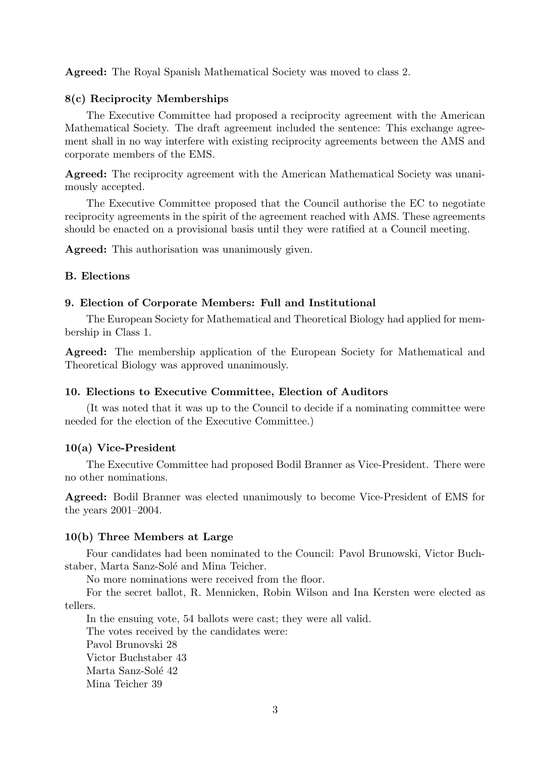Agreed: The Royal Spanish Mathematical Society was moved to class 2.

## 8(c) Reciprocity Memberships

The Executive Committee had proposed a reciprocity agreement with the American Mathematical Society. The draft agreement included the sentence: This exchange agreement shall in no way interfere with existing reciprocity agreements between the AMS and corporate members of the EMS.

Agreed: The reciprocity agreement with the American Mathematical Society was unanimously accepted.

The Executive Committee proposed that the Council authorise the EC to negotiate reciprocity agreements in the spirit of the agreement reached with AMS. These agreements should be enacted on a provisional basis until they were ratified at a Council meeting.

Agreed: This authorisation was unanimously given.

## B. Elections

## 9. Election of Corporate Members: Full and Institutional

The European Society for Mathematical and Theoretical Biology had applied for membership in Class 1.

Agreed: The membership application of the European Society for Mathematical and Theoretical Biology was approved unanimously.

## 10. Elections to Executive Committee, Election of Auditors

(It was noted that it was up to the Council to decide if a nominating committee were needed for the election of the Executive Committee.)

#### 10(a) Vice-President

The Executive Committee had proposed Bodil Branner as Vice-President. There were no other nominations.

Agreed: Bodil Branner was elected unanimously to become Vice-President of EMS for the years 2001–2004.

#### 10(b) Three Members at Large

Four candidates had been nominated to the Council: Pavol Brunowski, Victor Buchstaber, Marta Sanz-Solé and Mina Teicher.

No more nominations were received from the floor.

For the secret ballot, R. Mennicken, Robin Wilson and Ina Kersten were elected as tellers.

In the ensuing vote, 54 ballots were cast; they were all valid.

The votes received by the candidates were:

Pavol Brunovski 28

Victor Buchstaber 43

Marta Sanz-Solé 42

Mina Teicher 39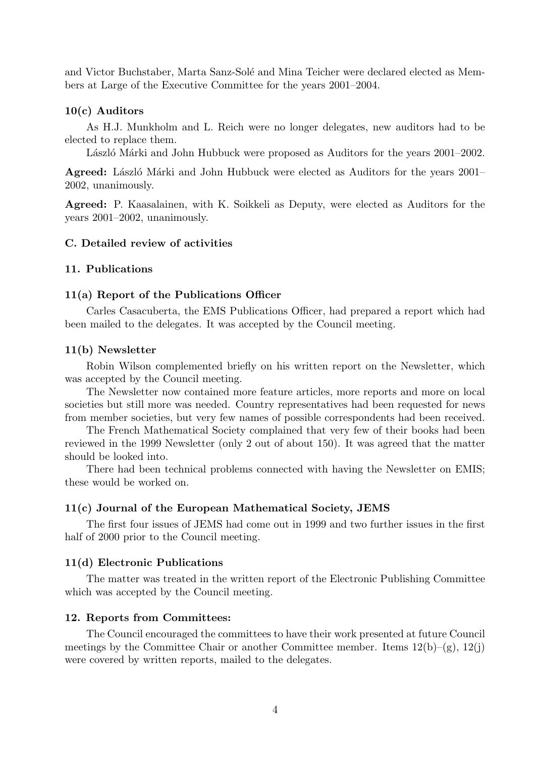and Victor Buchstaber, Marta Sanz-Solé and Mina Teicher were declared elected as Members at Large of the Executive Committee for the years 2001–2004.

### 10(c) Auditors

As H.J. Munkholm and L. Reich were no longer delegates, new auditors had to be elected to replace them.

László Márki and John Hubbuck were proposed as Auditors for the years 2001–2002.

Agreed: László Márki and John Hubbuck were elected as Auditors for the years 2001– 2002, unanimously.

Agreed: P. Kaasalainen, with K. Soikkeli as Deputy, were elected as Auditors for the years 2001–2002, unanimously.

## C. Detailed review of activities

## 11. Publications

#### 11(a) Report of the Publications Officer

Carles Casacuberta, the EMS Publications Officer, had prepared a report which had been mailed to the delegates. It was accepted by the Council meeting.

#### 11(b) Newsletter

Robin Wilson complemented briefly on his written report on the Newsletter, which was accepted by the Council meeting.

The Newsletter now contained more feature articles, more reports and more on local societies but still more was needed. Country representatives had been requested for news from member societies, but very few names of possible correspondents had been received.

The French Mathematical Society complained that very few of their books had been reviewed in the 1999 Newsletter (only 2 out of about 150). It was agreed that the matter should be looked into.

There had been technical problems connected with having the Newsletter on EMIS; these would be worked on.

#### 11(c) Journal of the European Mathematical Society, JEMS

The first four issues of JEMS had come out in 1999 and two further issues in the first half of 2000 prior to the Council meeting.

## 11(d) Electronic Publications

The matter was treated in the written report of the Electronic Publishing Committee which was accepted by the Council meeting.

### 12. Reports from Committees:

The Council encouraged the committees to have their work presented at future Council meetings by the Committee Chair or another Committee member. Items  $12(b)-(g)$ ,  $12(j)$ were covered by written reports, mailed to the delegates.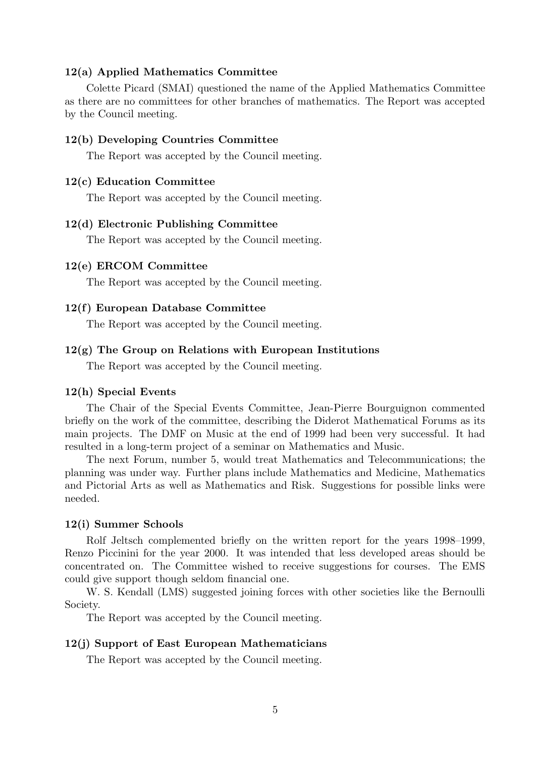## 12(a) Applied Mathematics Committee

Colette Picard (SMAI) questioned the name of the Applied Mathematics Committee as there are no committees for other branches of mathematics. The Report was accepted by the Council meeting.

#### 12(b) Developing Countries Committee

The Report was accepted by the Council meeting.

## 12(c) Education Committee

The Report was accepted by the Council meeting.

## 12(d) Electronic Publishing Committee

The Report was accepted by the Council meeting.

### 12(e) ERCOM Committee

The Report was accepted by the Council meeting.

#### 12(f) European Database Committee

The Report was accepted by the Council meeting.

## $12(g)$  The Group on Relations with European Institutions

The Report was accepted by the Council meeting.

#### 12(h) Special Events

The Chair of the Special Events Committee, Jean-Pierre Bourguignon commented briefly on the work of the committee, describing the Diderot Mathematical Forums as its main projects. The DMF on Music at the end of 1999 had been very successful. It had resulted in a long-term project of a seminar on Mathematics and Music.

The next Forum, number 5, would treat Mathematics and Telecommunications; the planning was under way. Further plans include Mathematics and Medicine, Mathematics and Pictorial Arts as well as Mathematics and Risk. Suggestions for possible links were needed.

#### 12(i) Summer Schools

Rolf Jeltsch complemented briefly on the written report for the years 1998–1999, Renzo Piccinini for the year 2000. It was intended that less developed areas should be concentrated on. The Committee wished to receive suggestions for courses. The EMS could give support though seldom financial one.

W. S. Kendall (LMS) suggested joining forces with other societies like the Bernoulli Society.

The Report was accepted by the Council meeting.

#### 12(j) Support of East European Mathematicians

The Report was accepted by the Council meeting.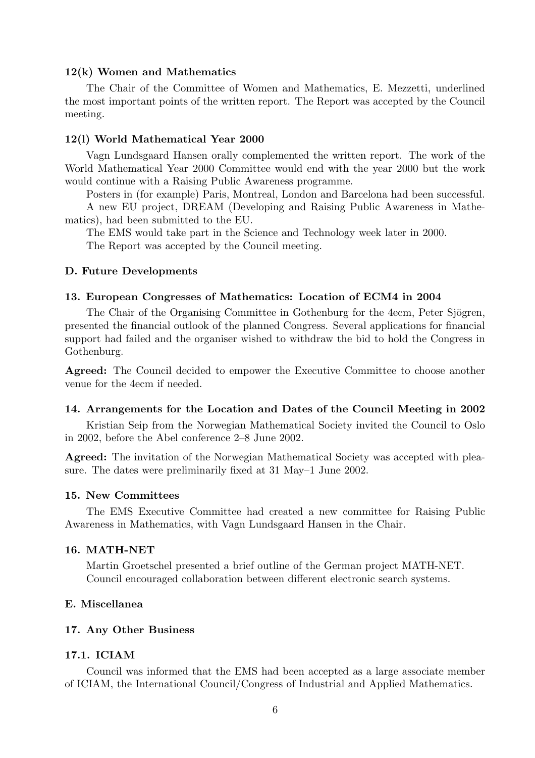### 12(k) Women and Mathematics

The Chair of the Committee of Women and Mathematics, E. Mezzetti, underlined the most important points of the written report. The Report was accepted by the Council meeting.

#### 12(l) World Mathematical Year 2000

Vagn Lundsgaard Hansen orally complemented the written report. The work of the World Mathematical Year 2000 Committee would end with the year 2000 but the work would continue with a Raising Public Awareness programme.

Posters in (for example) Paris, Montreal, London and Barcelona had been successful.

A new EU project, DREAM (Developing and Raising Public Awareness in Mathematics), had been submitted to the EU.

The EMS would take part in the Science and Technology week later in 2000.

The Report was accepted by the Council meeting.

# D. Future Developments

#### 13. European Congresses of Mathematics: Location of ECM4 in 2004

The Chair of the Organising Committee in Gothenburg for the 4ecm, Peter Sjögren, presented the financial outlook of the planned Congress. Several applications for financial support had failed and the organiser wished to withdraw the bid to hold the Congress in Gothenburg.

Agreed: The Council decided to empower the Executive Committee to choose another venue for the 4ecm if needed.

#### 14. Arrangements for the Location and Dates of the Council Meeting in 2002

Kristian Seip from the Norwegian Mathematical Society invited the Council to Oslo in 2002, before the Abel conference 2–8 June 2002.

Agreed: The invitation of the Norwegian Mathematical Society was accepted with pleasure. The dates were preliminarily fixed at 31 May–1 June 2002.

## 15. New Committees

The EMS Executive Committee had created a new committee for Raising Public Awareness in Mathematics, with Vagn Lundsgaard Hansen in the Chair.

## 16. MATH-NET

Martin Groetschel presented a brief outline of the German project MATH-NET. Council encouraged collaboration between different electronic search systems.

### E. Miscellanea

### 17. Any Other Business

## 17.1. ICIAM

Council was informed that the EMS had been accepted as a large associate member of ICIAM, the International Council/Congress of Industrial and Applied Mathematics.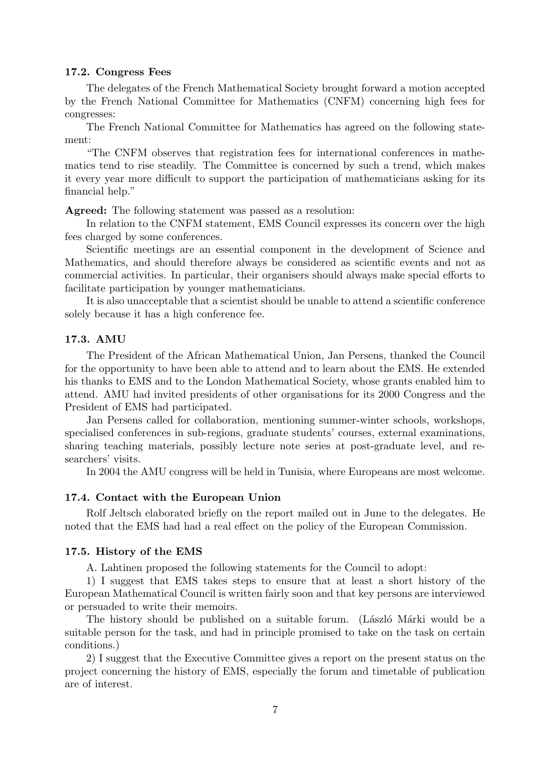### 17.2. Congress Fees

The delegates of the French Mathematical Society brought forward a motion accepted by the French National Committee for Mathematics (CNFM) concerning high fees for congresses:

The French National Committee for Mathematics has agreed on the following statement:

"The CNFM observes that registration fees for international conferences in mathematics tend to rise steadily. The Committee is concerned by such a trend, which makes it every year more difficult to support the participation of mathematicians asking for its financial help."

Agreed: The following statement was passed as a resolution:

In relation to the CNFM statement, EMS Council expresses its concern over the high fees charged by some conferences.

Scientific meetings are an essential component in the development of Science and Mathematics, and should therefore always be considered as scientific events and not as commercial activities. In particular, their organisers should always make special efforts to facilitate participation by younger mathematicians.

It is also unacceptable that a scientist should be unable to attend a scientific conference solely because it has a high conference fee.

## 17.3. AMU

The President of the African Mathematical Union, Jan Persens, thanked the Council for the opportunity to have been able to attend and to learn about the EMS. He extended his thanks to EMS and to the London Mathematical Society, whose grants enabled him to attend. AMU had invited presidents of other organisations for its 2000 Congress and the President of EMS had participated.

Jan Persens called for collaboration, mentioning summer-winter schools, workshops, specialised conferences in sub-regions, graduate students' courses, external examinations, sharing teaching materials, possibly lecture note series at post-graduate level, and researchers' visits.

In 2004 the AMU congress will be held in Tunisia, where Europeans are most welcome.

### 17.4. Contact with the European Union

Rolf Jeltsch elaborated briefly on the report mailed out in June to the delegates. He noted that the EMS had had a real effect on the policy of the European Commission.

## 17.5. History of the EMS

A. Lahtinen proposed the following statements for the Council to adopt:

1) I suggest that EMS takes steps to ensure that at least a short history of the European Mathematical Council is written fairly soon and that key persons are interviewed or persuaded to write their memoirs.

The history should be published on a suitable forum. (Laszló Marki would be a suitable person for the task, and had in principle promised to take on the task on certain conditions.)

2) I suggest that the Executive Committee gives a report on the present status on the project concerning the history of EMS, especially the forum and timetable of publication are of interest.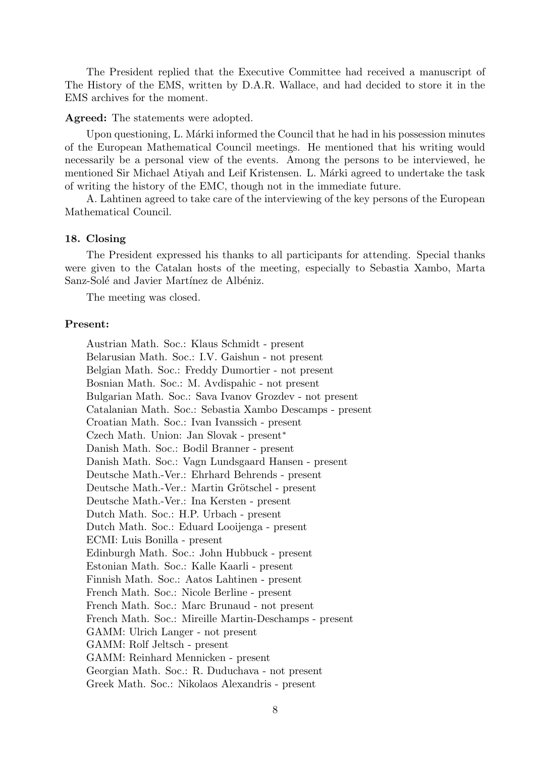The President replied that the Executive Committee had received a manuscript of The History of the EMS, written by D.A.R. Wallace, and had decided to store it in the EMS archives for the moment.

### Agreed: The statements were adopted.

Upon questioning, L. Márki informed the Council that he had in his possession minutes of the European Mathematical Council meetings. He mentioned that his writing would necessarily be a personal view of the events. Among the persons to be interviewed, he mentioned Sir Michael Atiyah and Leif Kristensen. L. Márki agreed to undertake the task of writing the history of the EMC, though not in the immediate future.

A. Lahtinen agreed to take care of the interviewing of the key persons of the European Mathematical Council.

### 18. Closing

The President expressed his thanks to all participants for attending. Special thanks were given to the Catalan hosts of the meeting, especially to Sebastia Xambo, Marta Sanz-Solé and Javier Martínez de Albéniz.

The meeting was closed.

## Present:

Austrian Math. Soc.: Klaus Schmidt - present Belarusian Math. Soc.: I.V. Gaishun - not present Belgian Math. Soc.: Freddy Dumortier - not present Bosnian Math. Soc.: M. Avdispahic - not present Bulgarian Math. Soc.: Sava Ivanov Grozdev - not present Catalanian Math. Soc.: Sebastia Xambo Descamps - present Croatian Math. Soc.: Ivan Ivanssich - present Czech Math. Union: Jan Slovak - present ∗ Danish Math. Soc.: Bodil Branner - present Danish Math. Soc.: Vagn Lundsgaard Hansen - present Deutsche Math.-Ver.: Ehrhard Behrends - present Deutsche Math.-Ver.: Martin Grötschel - present Deutsche Math.-Ver.: Ina Kersten - present Dutch Math. Soc.: H.P. Urbach - present Dutch Math. Soc.: Eduard Looijenga - present ECMI: Luis Bonilla - present Edinburgh Math. Soc.: John Hubbuck - present Estonian Math. Soc.: Kalle Kaarli - present Finnish Math. Soc.: Aatos Lahtinen - present French Math. Soc.: Nicole Berline - present French Math. Soc.: Marc Brunaud - not present French Math. Soc.: Mireille Martin-Deschamps - present GAMM: Ulrich Langer - not present GAMM: Rolf Jeltsch - present GAMM: Reinhard Mennicken - present Georgian Math. Soc.: R. Duduchava - not present Greek Math. Soc.: Nikolaos Alexandris - present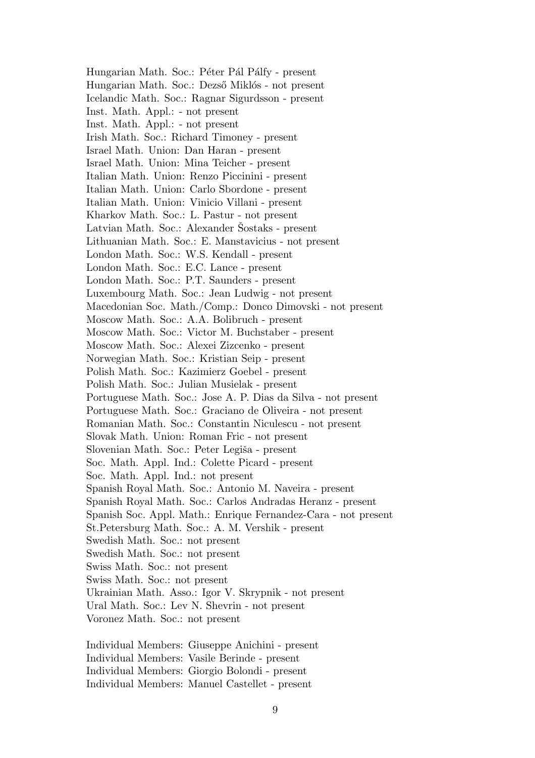Hungarian Math. Soc.: Péter Pál Pálfy - present Hungarian Math. Soc.: Dezső Miklós - not present Icelandic Math. Soc.: Ragnar Sigurdsson - present Inst. Math. Appl.: - not present Inst. Math. Appl.: - not present Irish Math. Soc.: Richard Timoney - present Israel Math. Union: Dan Haran - present Israel Math. Union: Mina Teicher - present Italian Math. Union: Renzo Piccinini - present Italian Math. Union: Carlo Sbordone - present Italian Math. Union: Vinicio Villani - present Kharkov Math. Soc.: L. Pastur - not present Latvian Math. Soc.: Alexander Šostaks - present Lithuanian Math. Soc.: E. Manstavicius - not present London Math. Soc.: W.S. Kendall - present London Math. Soc.: E.C. Lance - present London Math. Soc.: P.T. Saunders - present Luxembourg Math. Soc.: Jean Ludwig - not present Macedonian Soc. Math./Comp.: Donco Dimovski - not present Moscow Math. Soc.: A.A. Bolibruch - present Moscow Math. Soc.: Victor M. Buchstaber - present Moscow Math. Soc.: Alexei Zizcenko - present Norwegian Math. Soc.: Kristian Seip - present Polish Math. Soc.: Kazimierz Goebel - present Polish Math. Soc.: Julian Musielak - present Portuguese Math. Soc.: Jose A. P. Dias da Silva - not present Portuguese Math. Soc.: Graciano de Oliveira - not present Romanian Math. Soc.: Constantin Niculescu - not present Slovak Math. Union: Roman Fric - not present Slovenian Math. Soc.: Peter Legiša - present Soc. Math. Appl. Ind.: Colette Picard - present Soc. Math. Appl. Ind.: not present Spanish Royal Math. Soc.: Antonio M. Naveira - present Spanish Royal Math. Soc.: Carlos Andradas Heranz - present Spanish Soc. Appl. Math.: Enrique Fernandez-Cara - not present St.Petersburg Math. Soc.: A. M. Vershik - present Swedish Math. Soc.: not present Swedish Math. Soc.: not present Swiss Math. Soc.: not present Swiss Math. Soc.: not present Ukrainian Math. Asso.: Igor V. Skrypnik - not present Ural Math. Soc.: Lev N. Shevrin - not present Voronez Math. Soc.: not present Individual Members: Giuseppe Anichini - present

Individual Members: Vasile Berinde - present Individual Members: Giorgio Bolondi - present Individual Members: Manuel Castellet - present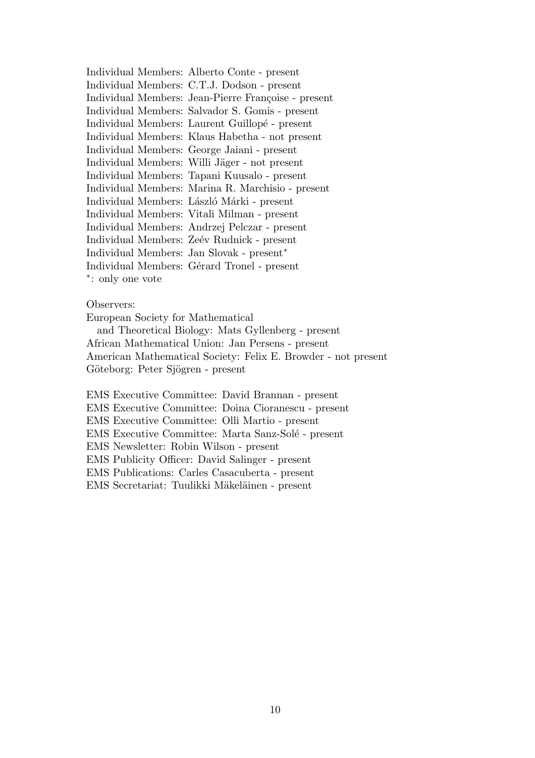|                  | Individual Members: Alberto Conte - present           |
|------------------|-------------------------------------------------------|
|                  | Individual Members: C.T.J. Dodson - present           |
|                  | Individual Members: Jean-Pierre Françoise - present   |
|                  | Individual Members: Salvador S. Gomis - present       |
|                  | Individual Members: Laurent Guillopé - present        |
|                  | Individual Members: Klaus Habetha - not present       |
|                  | Individual Members: George Jaiani - present           |
|                  | Individual Members: Willi Jäger - not present         |
|                  | Individual Members: Tapani Kuusalo - present          |
|                  | Individual Members: Marina R. Marchisio - present     |
|                  | Individual Members: László Márki - present            |
|                  | Individual Members: Vitali Milman - present           |
|                  | Individual Members: Andrzej Pelczar - present         |
|                  | Individual Members: Zeév Rudnick - present            |
|                  | Individual Members: Jan Slovak - present <sup>*</sup> |
|                  | Individual Members: Gérard Tronel - present           |
| *: only one vote |                                                       |

## Observers:

European Society for Mathematical and Theoretical Biology: Mats Gyllenberg - present African Mathematical Union: Jan Persens - present American Mathematical Society: Felix E. Browder - not present Göteborg: Peter Sjögren - present

EMS Executive Committee: David Brannan - present

EMS Executive Committee: Doina Cioranescu - present

EMS Executive Committee: Olli Martio - present

EMS Executive Committee: Marta Sanz-Solé - present

EMS Newsletter: Robin Wilson - present

EMS Publicity Officer: David Salinger - present

EMS Publications: Carles Casacuberta - present

EMS Secretariat: Tuulikki Mäkeläinen - present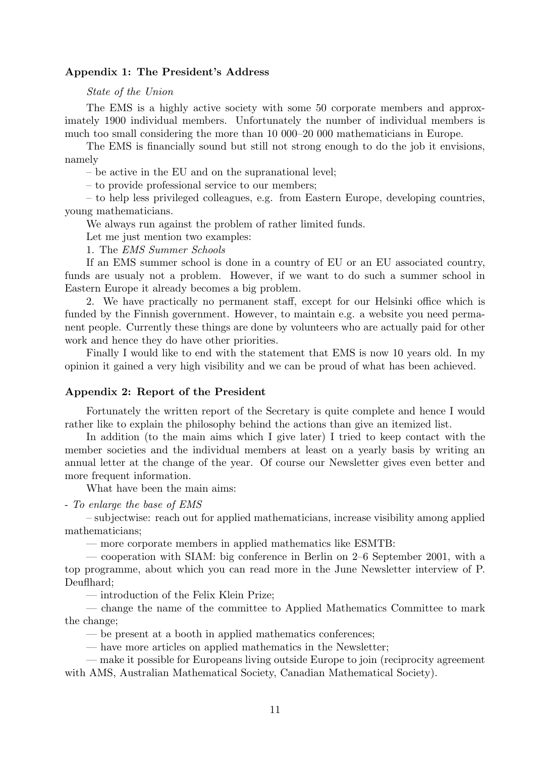## Appendix 1: The President's Address

State of the Union

The EMS is a highly active society with some 50 corporate members and approximately 1900 individual members. Unfortunately the number of individual members is much too small considering the more than 10 000–20 000 mathematicians in Europe.

The EMS is financially sound but still not strong enough to do the job it envisions, namely

– be active in the EU and on the supranational level;

– to provide professional service to our members;

– to help less privileged colleagues, e.g. from Eastern Europe, developing countries, young mathematicians.

We always run against the problem of rather limited funds.

Let me just mention two examples:

1. The EMS Summer Schools

If an EMS summer school is done in a country of EU or an EU associated country, funds are usualy not a problem. However, if we want to do such a summer school in Eastern Europe it already becomes a big problem.

2. We have practically no permanent staff, except for our Helsinki office which is funded by the Finnish government. However, to maintain e.g. a website you need permanent people. Currently these things are done by volunteers who are actually paid for other work and hence they do have other priorities.

Finally I would like to end with the statement that EMS is now 10 years old. In my opinion it gained a very high visibility and we can be proud of what has been achieved.

## Appendix 2: Report of the President

Fortunately the written report of the Secretary is quite complete and hence I would rather like to explain the philosophy behind the actions than give an itemized list.

In addition (to the main aims which I give later) I tried to keep contact with the member societies and the individual members at least on a yearly basis by writing an annual letter at the change of the year. Of course our Newsletter gives even better and more frequent information.

What have been the main aims:

- To enlarge the base of EMS

– subjectwise: reach out for applied mathematicians, increase visibility among applied mathematicians;

— more corporate members in applied mathematics like ESMTB:

— cooperation with SIAM: big conference in Berlin on 2–6 September 2001, with a top programme, about which you can read more in the June Newsletter interview of P. Deuflhard;

— introduction of the Felix Klein Prize;

— change the name of the committee to Applied Mathematics Committee to mark the change;

— be present at a booth in applied mathematics conferences;

— have more articles on applied mathematics in the Newsletter;

— make it possible for Europeans living outside Europe to join (reciprocity agreement

with AMS, Australian Mathematical Society, Canadian Mathematical Society).